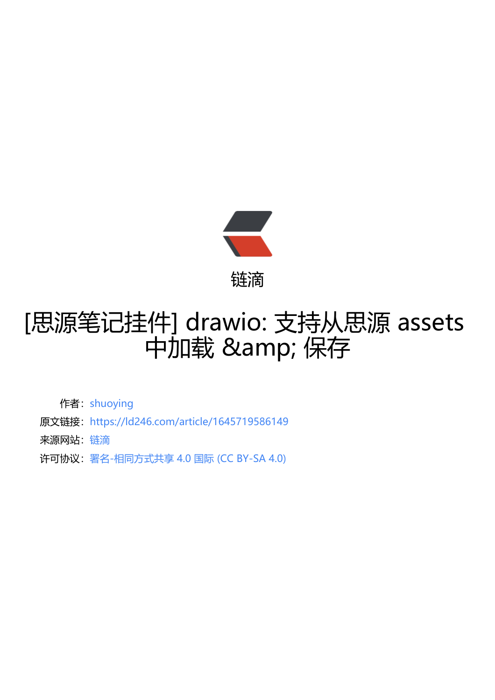

## [思源笔记挂件] dra[wio:](https://ld246.com) 支持从思源 assets 中加载 & 保存

作者: shuoying

- 原文链接:https://ld246.com/article/1645719586149
- 来源网站: [链滴](https://ld246.com/member/shuoying)
- 许可协议:[署名-相同方式共享 4.0 国际 \(CC BY-SA 4.0\)](https://ld246.com/article/1645719586149)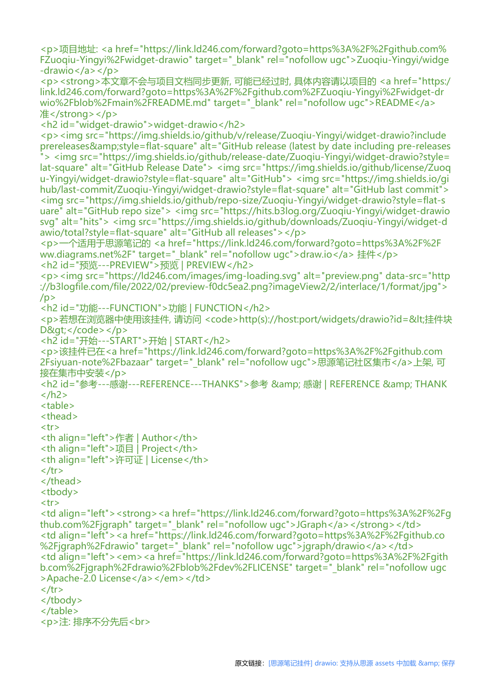<p>项目地址: <a href="https://link.ld246.com/forward?goto=https%3A%2F%2Fgithub.com% FZuoqiu-Yingyi%2Fwidget-drawio" target="\_blank" rel="nofollow ugc">Zuoqiu-Yingyi/widge  $-drawio < /a > < /p >$ 

<p><strong>本文章不会与项目文档同步更新, 可能已经过时, 具体内容请以项目的 <a href="https:/ link.ld246.com/forward?goto=https%3A%2F%2Fgithub.com%2FZuoqiu-Yingyi%2Fwidget-dr wio%2Fblob%2Fmain%2FREADME.md" target="\_blank" rel="nofollow ugc">README</a> 准</strong></p>

<h2 id="widget-drawio">widget-drawio</h2>

```
<p><img src="https://img.shields.io/github/v/release/Zuoqiu-Yingyi/widget-drawio?include
prereleases&style=flat-square" alt="GitHub release (latest by date including pre-releases
"> <img src="https://img.shields.io/github/release-date/Zuoqiu-Yingyi/widget-drawio?style=
lat-square" alt="GitHub Release Date"> <img src="https://img.shields.io/github/license/Zuoq
u-Yingyi/widget-drawio?style=flat-square" alt="GitHub"> <img src="https://img.shields.io/gi
hub/last-commit/Zuoqiu-Yingyi/widget-drawio?style=flat-square" alt="GitHub last commit">
<img src="https://img.shields.io/github/repo-size/Zuoqiu-Yingyi/widget-drawio?style=flat-s
uare" alt="GitHub repo size"> <img src="https://hits.b3log.org/Zuoqiu-Yingyi/widget-drawio
svg" alt="hits"> <img src="https://img.shields.io/github/downloads/Zuoqiu-Yingyi/widget-d
awio/total?style=flat-square" alt="GitHub all releases"></p>
<p>一个适用于思源笔记的 <a href="https://link.ld246.com/forward?goto=https%3A%2F%2F
```

```
ww.diagrams.net%2F" target=" blank" rel="nofollow ugc">draw.io</a> 挂件</p>
<h2 id="预览---PREVIEW">预览 | PREVIEW</h2>
```
<p><img src="https://ld246.com/images/img-loading.svg" alt="preview.png" data-src="http ://b3logfile.com/file/2022/02/preview-f0dc5ea2.png?imageView2/2/interlace/1/format/jpg">  $/p$ 

<h2 id="功能---FUNCTION">功能 | FUNCTION</h2>

<p>若想在浏览器中使用该挂件, 请访问 <code>http(s)://host:port/widgets/drawio?id=&lt;挂件块  $D\>c$ 

```
<h2 id="开始---START">开始 | START</h2>
```

```
<p>该挂件已在<a href="https://link.ld246.com/forward?goto=https%3A%2F%2Fgithub.com
2Fsiyuan-note%2Fbazaar" target="_blank" rel="nofollow ugc">思源笔记社区集市</a>上架, 可
接在集市中安装</p>
```

```
<h2 id="参考---感谢---REFERENCE---THANKS">参考 &amp; 感谢 | REFERENCE &amp; THANK
</h2>
```
<table>

<thead>

```
<tr>
```

```
<th align="left">作者 | Author</th>
```

```
<th align="left">项目 | Project</th>
```

```
<th align="left">许可证 | License</th>
```

```
\langle tr \rangle
```

```
</thead>
```

```
<tbody>
```

```
<tr>
```

```
<td align="left"><strong><a href="https://link.ld246.com/forward?goto=https%3A%2F%2Fg
thub.com%2Fjgraph" target=" blank" rel="nofollow ugc">JGraph</a></strong></td>
<td align="left"><a href="https://link.ld246.com/forward?goto=https%3A%2F%2Fgithub.co
%2Fjgraph%2Fdrawio" target=" blank" rel="nofollow ugc">jgraph/drawio</a></td>
<td align="left"><em><a href="https://link.ld246.com/forward?goto=https%3A%2F%2Fgith
b.com%2Fjgraph%2Fdrawio%2Fblob%2Fdev%2FLICENSE" target="_blank" rel="nofollow ugc
>Apache-2.0 License</a></em></td>
\langle tr \rangle</tbody>
```

```
</table>
```

```
<p>注: 排序不分先后<br>
```